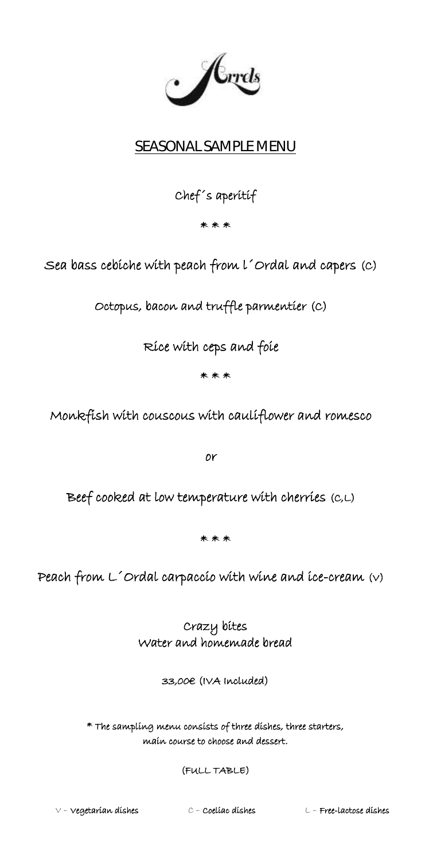$\cdot$  /  $\mathcal{L}_{rrds}$ 

# SEASONAL SAMPLE MENU

# Chef´s aperitif

\* \* \*

Sea bass cebiche with peach from l´Ordal and capers (C)

Octopus, bacon and truffle parmentier (C)

Rice with ceps and foie

\* \* \*

Monkfish with couscous with cauliflower and romesco

or

Beef cooked at low temperature with cherries (C,L)

\* \* \*

Peach from L´Ordal carpaccio with wine and ice-cream (V)

Crazy bites Water and homemade bread

33,00€ (IVA Included)

\* The sampling menu consists of three dishes, three starters, main course to choose and dessert.

(FULL TABLE)

V – Vegetarian dishes C – Coeliac dishes L – Free-lactose dishes